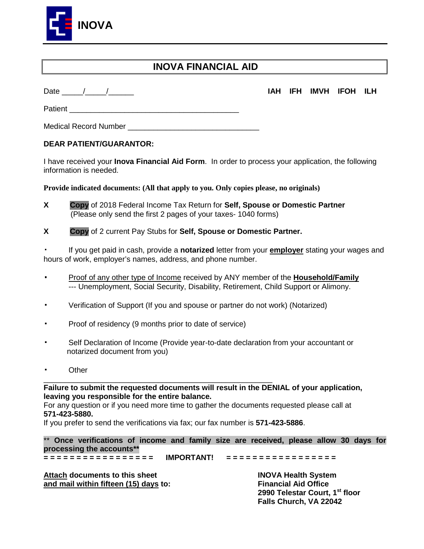

#### **INOVA FINANCIAL AID**

#### Date \_\_\_\_\_/\_\_\_\_\_/\_\_\_\_\_\_ **IAH IFH IMVH IFOH ILH**

Patient **Executive Community**  $\mathbf{P}$ 

Medical Record Number **Example 18** 

#### **DEAR PATIENT/GUARANTOR:**

I have received your **Inova Financial Aid Form**. In order to process your application, the following information is needed.

**Provide indicated documents: (All that apply to you. Only copies please, no originals)** 

- **X Copy** of 2018 Federal Income Tax Return for **Self, Spouse or Domestic Partner** (Please only send the first 2 pages of your taxes- 1040 forms)
- **X Copy** of 2 current Pay Stubs for **Self, Spouse or Domestic Partner.**

 If you get paid in cash, provide a **notarized** letter from your **employer** stating your wages and hours of work, employer's names, address, and phone number.

- Proof of any other type of Income received by ANY member of the **Household/Family** --- Unemployment, Social Security, Disability, Retirement, Child Support or Alimony.
- Verification of Support (If you and spouse or partner do not work) (Notarized)
- Proof of residency (9 months prior to date of service)
- Self Declaration of Income (Provide year-to-date declaration from your accountant or notarized document from you)
- **Other**

**Failure to submit the requested documents will result in the DENIAL of your application, leaving you responsible for the entire balance.** 

For any question or if you need more time to gather the documents requested please call at **571-423-5880.**

If you prefer to send the verifications via fax; our fax number is **571-423-5886**.

\_\_\_\_\_\_\_\_\_\_\_\_\_\_\_\_\_\_\_\_\_\_\_\_\_\_\_\_\_\_\_\_\_\_\_\_\_\_\_\_\_\_\_\_\_\_\_\_\_\_\_\_\_\_

\*\* **Once verifications of income and family size are received, please allow 30 days for processing the accounts\*\*** 

**= = = = = = = = = = = = = = = = = IMPORTANT! = = = = = = = = = = = = = = = = =**

Attach documents to this sheet **INOVA Health System and mail within fifteen (15) days to:** Financial Aid Office

 **2990 Telestar Court, 1st floor Falls Church, VA 22042**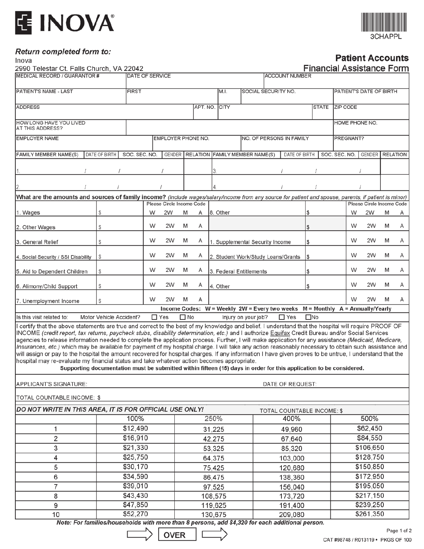# E INOVA®



#### Return completed form to:

Inova

#### **Patient Accounts**

| 2990 Telestar Ct. Falls Church, VA 22042                                                                                                                                                                                                                                                                                                                                                                                                                                                                                                                                                                                                                                                                                                                                                                                                                                                                                                                                                                                         |                         |               |                    |                                 |                                   |   |                  |                     |                                           |                                    |                                                                                                |                         | <b>Financial Assistance Form</b> |                        |           |                                 |   |   |  |
|----------------------------------------------------------------------------------------------------------------------------------------------------------------------------------------------------------------------------------------------------------------------------------------------------------------------------------------------------------------------------------------------------------------------------------------------------------------------------------------------------------------------------------------------------------------------------------------------------------------------------------------------------------------------------------------------------------------------------------------------------------------------------------------------------------------------------------------------------------------------------------------------------------------------------------------------------------------------------------------------------------------------------------|-------------------------|---------------|--------------------|---------------------------------|-----------------------------------|---|------------------|---------------------|-------------------------------------------|------------------------------------|------------------------------------------------------------------------------------------------|-------------------------|----------------------------------|------------------------|-----------|---------------------------------|---|---|--|
| MEDICAL RECORD / GUARANTOR #                                                                                                                                                                                                                                                                                                                                                                                                                                                                                                                                                                                                                                                                                                                                                                                                                                                                                                                                                                                                     | <b>DATE OF SERVICE</b>  |               |                    |                                 |                                   |   |                  |                     | <b>ACCOUNT NUMBER</b>                     |                                    |                                                                                                |                         |                                  |                        |           |                                 |   |   |  |
| PATIENT'S NAME - LAST                                                                                                                                                                                                                                                                                                                                                                                                                                                                                                                                                                                                                                                                                                                                                                                                                                                                                                                                                                                                            | <b>FIRST</b>            |               |                    |                                 | M.I.                              |   |                  | SOCIAL SECURITY NO. |                                           |                                    |                                                                                                | PATIENT'S DATE OF BIRTH |                                  |                        |           |                                 |   |   |  |
| <b>ADDRESS</b>                                                                                                                                                                                                                                                                                                                                                                                                                                                                                                                                                                                                                                                                                                                                                                                                                                                                                                                                                                                                                   |                         |               |                    |                                 |                                   |   | APT. NO. CITY    |                     |                                           | <b>STATE</b>                       |                                                                                                |                         | <b>ZIP CODE</b>                  |                        |           |                                 |   |   |  |
| HOW LONG HAVE YOU LIVED<br>AT THIS ADDRESS?                                                                                                                                                                                                                                                                                                                                                                                                                                                                                                                                                                                                                                                                                                                                                                                                                                                                                                                                                                                      |                         |               |                    |                                 |                                   |   |                  |                     |                                           |                                    |                                                                                                |                         | HOME PHONE NO.                   |                        |           |                                 |   |   |  |
| <b>EMPLOYER NAME</b>                                                                                                                                                                                                                                                                                                                                                                                                                                                                                                                                                                                                                                                                                                                                                                                                                                                                                                                                                                                                             |                         |               | EMPLOYER PHONE NO. |                                 |                                   |   |                  |                     |                                           |                                    | NO. OF PERSONS IN FAMILY                                                                       |                         |                                  |                        | PREGNANT? |                                 |   |   |  |
| FAMILY MEMBER NAME(S)                                                                                                                                                                                                                                                                                                                                                                                                                                                                                                                                                                                                                                                                                                                                                                                                                                                                                                                                                                                                            | DATE OF BIRTH           | SOC. SEC. NO. |                    |                                 |                                   |   |                  |                     | GENDER   RELATION   FAMILY MEMBER NAME(S) |                                    | DATE OF BIRTH                                                                                  |                         |                                  | SOC. SEC. NO.          |           | <b>GENDER RELATION</b>          |   |   |  |
|                                                                                                                                                                                                                                                                                                                                                                                                                                                                                                                                                                                                                                                                                                                                                                                                                                                                                                                                                                                                                                  |                         |               |                    |                                 |                                   |   |                  |                     |                                           |                                    |                                                                                                |                         |                                  |                        |           |                                 |   |   |  |
|                                                                                                                                                                                                                                                                                                                                                                                                                                                                                                                                                                                                                                                                                                                                                                                                                                                                                                                                                                                                                                  |                         |               |                    |                                 |                                   |   |                  |                     |                                           |                                    |                                                                                                |                         |                                  |                        |           |                                 |   |   |  |
| What are the amounts and sources of family income? (Include wages/salary/income from any source for patient and spouse, parents, if patient is minor)                                                                                                                                                                                                                                                                                                                                                                                                                                                                                                                                                                                                                                                                                                                                                                                                                                                                            |                         |               |                    |                                 |                                   |   |                  |                     |                                           |                                    |                                                                                                |                         |                                  |                        |           |                                 |   |   |  |
| 1. Wages                                                                                                                                                                                                                                                                                                                                                                                                                                                                                                                                                                                                                                                                                                                                                                                                                                                                                                                                                                                                                         | \$                      |               | W                  | Please Circle Income Code<br>2W | M                                 | Α |                  | 8. Other            |                                           |                                    |                                                                                                |                         |                                  |                        | W         | Please Circle Income Code<br>2W | M | Α |  |
|                                                                                                                                                                                                                                                                                                                                                                                                                                                                                                                                                                                                                                                                                                                                                                                                                                                                                                                                                                                                                                  |                         |               | W                  | 2W                              | M                                 | A |                  |                     |                                           |                                    |                                                                                                |                         |                                  |                        | W         | 2W                              | M | A |  |
| 2. Other Wages                                                                                                                                                                                                                                                                                                                                                                                                                                                                                                                                                                                                                                                                                                                                                                                                                                                                                                                                                                                                                   | S                       |               |                    |                                 |                                   |   |                  |                     |                                           |                                    |                                                                                                | \$                      |                                  |                        |           |                                 |   |   |  |
| 3. General Relief                                                                                                                                                                                                                                                                                                                                                                                                                                                                                                                                                                                                                                                                                                                                                                                                                                                                                                                                                                                                                | S                       |               | W                  | 2W                              | M                                 | Α |                  |                     |                                           | 1. Supplemental Security Income    |                                                                                                | \$                      |                                  |                        | W         | 2W                              | M | Α |  |
| 4. Social Security / SSI Disability                                                                                                                                                                                                                                                                                                                                                                                                                                                                                                                                                                                                                                                                                                                                                                                                                                                                                                                                                                                              | $\mathcal{S}$           |               | W                  | 2W                              | M                                 | A |                  |                     |                                           | 2. Student Work/Study Loans/Grants |                                                                                                | \$                      |                                  |                        | W         | 2W                              | M | Α |  |
| 5. Aid to Dependent Children                                                                                                                                                                                                                                                                                                                                                                                                                                                                                                                                                                                                                                                                                                                                                                                                                                                                                                                                                                                                     | \$                      |               | W                  | 2W                              | M<br>A<br>3. Federal Entitlements |   | \$               |                     |                                           |                                    | W                                                                                              | 2W                      | M                                | Α                      |           |                                 |   |   |  |
| 6. Alimony/Child Support                                                                                                                                                                                                                                                                                                                                                                                                                                                                                                                                                                                                                                                                                                                                                                                                                                                                                                                                                                                                         | S                       |               | W                  | 2W                              | M                                 | Α | 4. Other         |                     |                                           | \$                                 |                                                                                                |                         |                                  |                        | W         | 2W                              | M | A |  |
| 7. Unemployment Income                                                                                                                                                                                                                                                                                                                                                                                                                                                                                                                                                                                                                                                                                                                                                                                                                                                                                                                                                                                                           | S                       |               | W                  | 2W                              | M<br>A                            |   |                  |                     |                                           |                                    |                                                                                                | W                       | 2W                               | M                      | Α         |                                 |   |   |  |
| Is this visit related to:                                                                                                                                                                                                                                                                                                                                                                                                                                                                                                                                                                                                                                                                                                                                                                                                                                                                                                                                                                                                        | Motor Vehicle Accident? |               |                    | $\Box$ Yes                      | $\Box$ No                         |   |                  |                     |                                           |                                    | Income Codes: W = Weekly 2W = Every two weeks M = Monthly A = Annually/Yearly<br>$\square$ Yes | $\square$ No            |                                  |                        |           |                                 |   |   |  |
| Injury on your job?<br>certify that the above statements are true and correct to the best of my knowledge and belief. I understand that the hospital will require PROOF OF<br>INCOME (credit report, tax returns, paycheck stubs, disability determination, etc.) and I authorize Equifax Credit Bureau and/or Social Services<br>agencies to release information needed to complete the application process. Further, I will make application for any assistance (Medicaid, Medicare,<br>Insurances, etc.) which may be available for payment of my hospital charge. I will take any action reasonably necessary to obtain such assistance and<br>will assign or pay to the hospital the amount recovered for hospital charges. If any information I have given proves to be untrue, I understand that the<br>hospital may re-evaluate my financial status and take whatever action becomes appropriate.<br>Supporting documentation must be submitted within fifteen (15) days in order for this application to be considered. |                         |               |                    |                                 |                                   |   |                  |                     |                                           |                                    |                                                                                                |                         |                                  |                        |           |                                 |   |   |  |
| APPLICANT'S SIGNATURE:                                                                                                                                                                                                                                                                                                                                                                                                                                                                                                                                                                                                                                                                                                                                                                                                                                                                                                                                                                                                           |                         |               |                    |                                 |                                   |   |                  |                     |                                           |                                    | DATE OF REQUEST:                                                                               |                         |                                  |                        |           |                                 |   |   |  |
| TOTAL COUNTABLE INCOME: \$                                                                                                                                                                                                                                                                                                                                                                                                                                                                                                                                                                                                                                                                                                                                                                                                                                                                                                                                                                                                       |                         |               |                    |                                 |                                   |   |                  |                     |                                           |                                    |                                                                                                |                         |                                  |                        |           |                                 |   |   |  |
| DO NOT WRITE IN THIS AREA, IT IS FOR OFFICIAL USE ONLY!                                                                                                                                                                                                                                                                                                                                                                                                                                                                                                                                                                                                                                                                                                                                                                                                                                                                                                                                                                          |                         |               |                    |                                 |                                   |   |                  |                     |                                           |                                    | TOTAL COUNTABLE INCOME: \$                                                                     |                         |                                  |                        |           |                                 |   |   |  |
|                                                                                                                                                                                                                                                                                                                                                                                                                                                                                                                                                                                                                                                                                                                                                                                                                                                                                                                                                                                                                                  |                         | 100%          |                    |                                 | 250%                              |   |                  |                     |                                           | 400%                               |                                                                                                |                         | 500%                             |                        |           |                                 |   |   |  |
| 1                                                                                                                                                                                                                                                                                                                                                                                                                                                                                                                                                                                                                                                                                                                                                                                                                                                                                                                                                                                                                                | \$12,490                |               |                    |                                 |                                   |   | 31,225           |                     |                                           |                                    | 49,960                                                                                         |                         |                                  |                        | \$62,450  |                                 |   |   |  |
| 2                                                                                                                                                                                                                                                                                                                                                                                                                                                                                                                                                                                                                                                                                                                                                                                                                                                                                                                                                                                                                                | \$16,910                |               |                    |                                 | 42,275                            |   |                  |                     | 67,640                                    |                                    |                                                                                                |                         |                                  |                        |           | \$84,550                        |   |   |  |
| 3                                                                                                                                                                                                                                                                                                                                                                                                                                                                                                                                                                                                                                                                                                                                                                                                                                                                                                                                                                                                                                | \$21,330                |               |                    |                                 | 53,325                            |   |                  |                     |                                           | 85,320                             |                                                                                                |                         |                                  | \$106,650              |           |                                 |   |   |  |
| 4                                                                                                                                                                                                                                                                                                                                                                                                                                                                                                                                                                                                                                                                                                                                                                                                                                                                                                                                                                                                                                | \$25,750<br>\$30,170    |               |                    |                                 | 64,375<br>75,425                  |   |                  |                     |                                           | 103,000                            |                                                                                                |                         |                                  | \$128,750<br>\$150,850 |           |                                 |   |   |  |
| 5<br>6                                                                                                                                                                                                                                                                                                                                                                                                                                                                                                                                                                                                                                                                                                                                                                                                                                                                                                                                                                                                                           | \$34,590                |               |                    |                                 |                                   |   |                  |                     | 120,680                                   |                                    |                                                                                                |                         |                                  |                        | \$172,950 |                                 |   |   |  |
| 7                                                                                                                                                                                                                                                                                                                                                                                                                                                                                                                                                                                                                                                                                                                                                                                                                                                                                                                                                                                                                                | \$39,010                |               |                    |                                 |                                   |   | 86,475<br>97,525 |                     | 138,360<br>156,040                        |                                    |                                                                                                |                         |                                  |                        |           | \$195,050                       |   |   |  |
| 8                                                                                                                                                                                                                                                                                                                                                                                                                                                                                                                                                                                                                                                                                                                                                                                                                                                                                                                                                                                                                                | \$43,430                |               |                    |                                 |                                   |   |                  |                     | 173,720                                   |                                    |                                                                                                |                         |                                  | \$217,150              |           |                                 |   |   |  |
| 9                                                                                                                                                                                                                                                                                                                                                                                                                                                                                                                                                                                                                                                                                                                                                                                                                                                                                                                                                                                                                                | \$47,850                |               |                    |                                 | 108,575<br>119,625                |   |                  |                     |                                           | 191,400                            |                                                                                                |                         | \$239,250                        |                        |           |                                 |   |   |  |
| 10                                                                                                                                                                                                                                                                                                                                                                                                                                                                                                                                                                                                                                                                                                                                                                                                                                                                                                                                                                                                                               | \$52,270                |               |                    |                                 | 130,675                           |   |                  |                     | 209,080                                   |                                    |                                                                                                |                         |                                  | \$261,350              |           |                                 |   |   |  |
| Note: For families/households with more than 8 persons, add \$4,320 for each additional person.                                                                                                                                                                                                                                                                                                                                                                                                                                                                                                                                                                                                                                                                                                                                                                                                                                                                                                                                  |                         |               |                    |                                 |                                   |   |                  |                     |                                           |                                    |                                                                                                |                         |                                  |                        |           |                                 |   |   |  |

OVER

L

 $\overline{\phantom{a}}$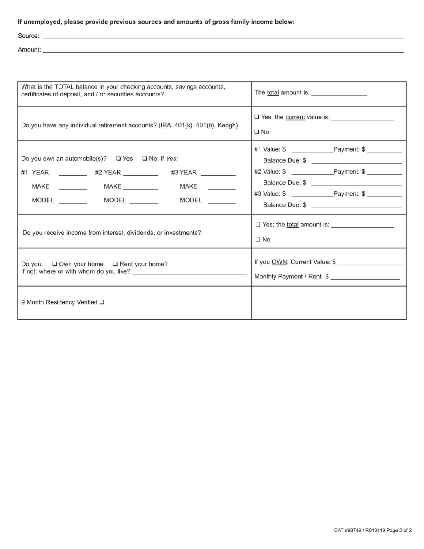#### If unemployed, please provide previous sources and amounts of gross family income below:

<u> 1980 - Johann Barbara, martxa a</u>

Source: \_

Amount:

| What is the TOTAL balance in your checking accounts, savings accounts,<br>certificates of deposit, and / or securities accounts?                                                                                  |                                                            |  |  |  |  |  |
|-------------------------------------------------------------------------------------------------------------------------------------------------------------------------------------------------------------------|------------------------------------------------------------|--|--|--|--|--|
| Do you have any individual retirement accounts? (IRA, 401(k), 401(b), Keogh)                                                                                                                                      | $\square$ No                                               |  |  |  |  |  |
| Do you own an automobile(s)? $\Box$ Yes $\Box$ No; if Yes:<br>#1 YEAR __________ #2 YEAR _________ #3 YEAR ________<br>MAKE ____________  MAKE ___________<br>MODEL ___________  MODEL __________  MODEL ________ | #2 Value: \$ Payment: \$                                   |  |  |  |  |  |
| Do you receive income from interest, dividends, or investments?                                                                                                                                                   | $\square$ No                                               |  |  |  |  |  |
| Do you: $\Box$ Own your home $\Box$ Rent your home?                                                                                                                                                               | If you OWN: Current Value: \$<br>Monthly Payment / Rent \$ |  |  |  |  |  |
| 9 Month Residency Verified Q                                                                                                                                                                                      |                                                            |  |  |  |  |  |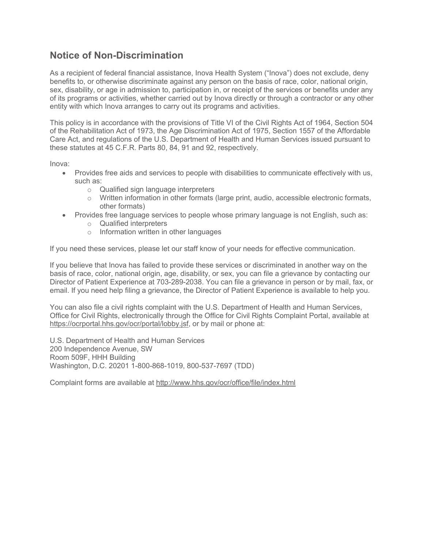#### **Notice of Non-Discrimination**

As a recipient of federal financial assistance, Inova Health System ("Inova") does not exclude, deny benefits to, or otherwise discriminate against any person on the basis of race, color, national origin, sex, disability, or age in admission to, participation in, or receipt of the services or benefits under any of its programs or activities, whether carried out by Inova directly or through a contractor or any other entity with which Inova arranges to carry out its programs and activities.

This policy is in accordance with the provisions of Title VI of the Civil Rights Act of 1964, Section 504 of the Rehabilitation Act of 1973, the Age Discrimination Act of 1975, Section 1557 of the Affordable Care Act, and regulations of the U.S. Department of Health and Human Services issued pursuant to these statutes at 45 C.F.R. Parts 80, 84, 91 and 92, respectively.

Inova:

- · Provides free aids and services to people with disabilities to communicate effectively with us, such as:
	- o Qualified sign language interpreters
	- o Written information in other formats (large print, audio, accessible electronic formats, other formats)
- Provides free language services to people whose primary language is not English, such as:
	- o Qualified interpreters
	- o Information written in other languages

If you need these services, please let our staff know of your needs for effective communication.

If you believe that Inova has failed to provide these services or discriminated in another way on the basis of race, color, national origin, age, disability, or sex, you can file a grievance by contacting our Director of Patient Experience at 703-289-2038. You can file a grievance in person or by mail, fax, or email. If you need help filing a grievance, the Director of Patient Experience is available to help you.

You can also file a civil rights complaint with the U.S. Department of Health and Human Services, Office for Civil Rights, electronically through the Office for Civil Rights Complaint Portal, available at https://ocrportal.hhs.gov/ocr/portal/lobby.jsf, or by mail or phone at:

U.S. Department of Health and Human Services 200 Independence Avenue, SW Room 509F, HHH Building Washington, D.C. 20201 1-800-868-1019, 800-537-7697 (TDD)

Complaint forms are available at http://www.hhs.gov/ocr/office/file/index.html